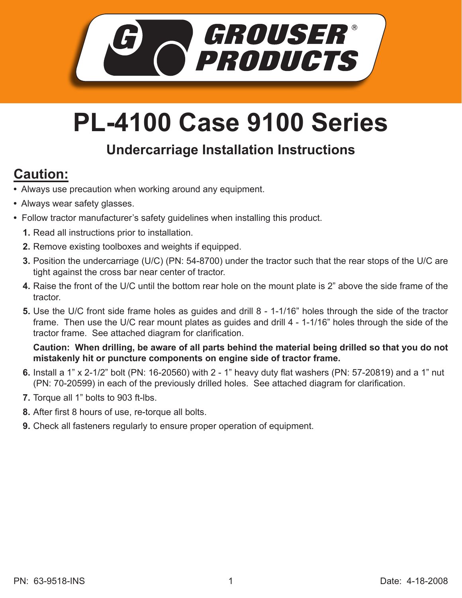

## **PL-4100 Case 9100 Series**

## **Undercarriage Installation Instructions**

## **Caution:**

- Always use precaution when working around any equipment.
- Always wear safety glasses.
- Follow tractor manufacturer's safety guidelines when installing this product.
	- **1.** Read all instructions prior to installation.
	- **2.** Remove existing toolboxes and weights if equipped.
	- **3.** Position the undercarriage (U/C) (PN: 54-8700) under the tractor such that the rear stops of the U/C are tight against the cross bar near center of tractor.
	- **4.** Raise the front of the U/C until the bottom rear hole on the mount plate is 2" above the side frame of the tractor.
	- Use the U/C front side frame holes as guides and drill 8 1-1/16" holes through the side of the tractor **5.** frame. Then use the U/C rear mount plates as guides and drill 4 - 1-1/16" holes through the side of the tractor frame. See attached diagram for clarification.

**Caution: When drilling, be aware of all parts behind the material being drilled so that you do not mistakenly hit or puncture components on engine side of tractor frame.**

- Install a 1" x 2-1/2" bolt (PN: 16-20560) with 2 1" heavy duty flat washers (PN: 57-20819) and a 1" nut **6.** (PN: 70-20599) in each of the previously drilled holes. See attached diagram for clarification.
- **7.** Torque all 1" bolts to 903 ft-lbs.
- After first 8 hours of use, re-torque all bolts. **8.**
- **9.** Check all fasteners regularly to ensure proper operation of equipment.